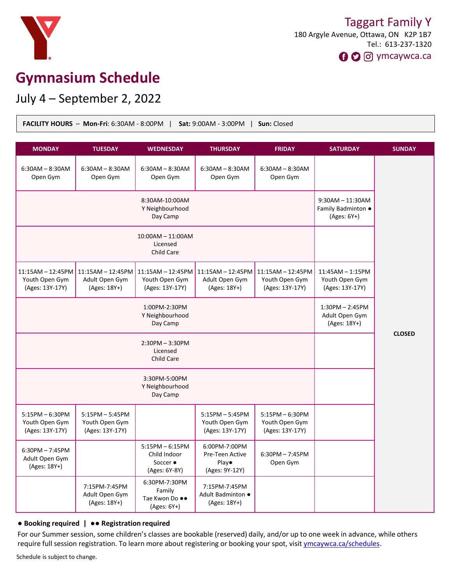

# **Gymnasium Schedule**

July 4 – September 2, 2022

| <b>FACILITY HOURS - Mon-Fri: 6:30AM - 8:00PM</b><br>Sat: 9:00AM - 3:00PM  <br>Sun: Closed |                                                        |                                                                        |                                                             |                                                          |                                                           |               |
|-------------------------------------------------------------------------------------------|--------------------------------------------------------|------------------------------------------------------------------------|-------------------------------------------------------------|----------------------------------------------------------|-----------------------------------------------------------|---------------|
| <b>MONDAY</b>                                                                             | <b>TUESDAY</b>                                         | <b>WEDNESDAY</b>                                                       | <b>THURSDAY</b>                                             | <b>FRIDAY</b>                                            | <b>SATURDAY</b>                                           | <b>SUNDAY</b> |
| $6:30AM - 8:30AM$<br>Open Gym                                                             | $6:30AM - 8:30AM$<br>Open Gym                          | $6:30AM - 8:30AM$<br>Open Gym                                          | $6:30AM - 8:30AM$<br>Open Gym                               | $6:30AM - 8:30AM$<br>Open Gym                            |                                                           |               |
| 8:30AM-10:00AM<br>Y Neighbourhood<br>Day Camp                                             |                                                        |                                                                        |                                                             |                                                          | $9:30AM - 11:30AM$<br>Family Badminton .<br>$(Ages: 6Y+)$ |               |
| 10:00AM - 11:00AM<br>Licensed<br>Child Care                                               |                                                        |                                                                        |                                                             |                                                          |                                                           |               |
| $11:15AM - 12:45PM$<br>Youth Open Gym<br>(Ages: 13Y-17Y)                                  | 11:15AM - 12:45PM<br>Adult Open Gym<br>(Ages: 18Y+)    | 11:15AM - 12:45PM<br>Youth Open Gym<br>(Ages: 13Y-17Y)                 | $11:15AM - 12:45PM$<br>Adult Open Gym<br>(Ages: 18Y+)       | $11:15AM - 12:45PM$<br>Youth Open Gym<br>(Ages: 13Y-17Y) | $11:45AM - 1:15PM$<br>Youth Open Gym<br>(Ages: 13Y-17Y)   |               |
| 1:00PM-2:30PM<br>Y Neighbourhood<br>Day Camp                                              |                                                        |                                                                        |                                                             |                                                          | $1:30PM - 2:45PM$<br>Adult Open Gym<br>(Ages: 18Y+)       | <b>CLOSED</b> |
| $2:30PM - 3:30PM$<br>Licensed<br>Child Care                                               |                                                        |                                                                        |                                                             |                                                          |                                                           |               |
| 3:30PM-5:00PM<br>Y Neighbourhood<br>Day Camp                                              |                                                        |                                                                        |                                                             |                                                          |                                                           |               |
| $5:15PM - 6:30PM$<br>Youth Open Gym<br>(Ages: 13Y-17Y)                                    | $5:15PM - 5:45PM$<br>Youth Open Gym<br>(Ages: 13Y-17Y) |                                                                        | $5:15PM - 5:45PM$<br>Youth Open Gym<br>(Ages: 13Y-17Y)      | 5:15PM - 6:30PM<br>Youth Open Gym<br>(Ages: 13Y-17Y)     |                                                           |               |
| $6:30PM - 7:45PM$<br>Adult Open Gym<br>(Ages: 18Y+)                                       |                                                        | $5:15PM - 6:15PM$<br>Child Indoor<br>Soccer $\bullet$<br>(Ages: 6Y-8Y) | 6:00PM-7:00PM<br>Pre-Teen Active<br>Play•<br>(Ages: 9Y-12Y) | $6:30PM - 7:45PM$<br>Open Gym                            |                                                           |               |
|                                                                                           | 7:15PM-7:45PM<br>Adult Open Gym<br>(Ages: 18Y+)        | 6:30PM-7:30PM<br>Family<br>Tae Kwon Do ●●<br>(Ages: 6Y+)               | 7:15PM-7:45PM<br>Adult Badminton ·<br>(Ages: 18Y+)          |                                                          |                                                           |               |

#### ● **Booking required |** ●● **Registration required**

For our Summer session, some children's classes are bookable (reserved) daily, and/or up to one week in advance, while others require full session registration. To learn more about registering or booking your spot, visit [ymcaywca.ca/schedules](https://www.ymcaywca.ca/health-fitness/schedules/).